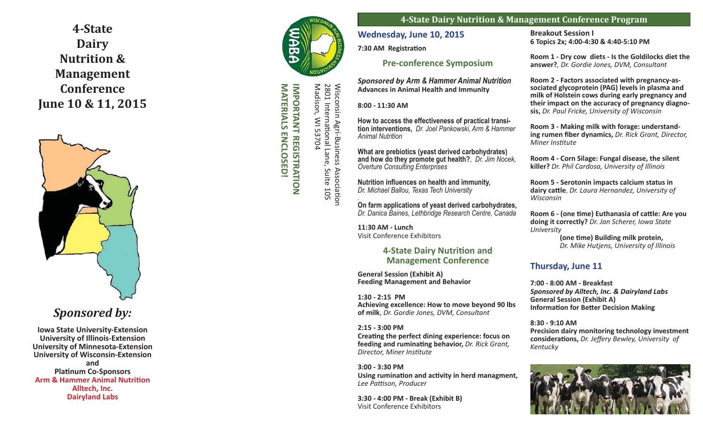**4-State Dairy Nutrition & Management Conference June 10 & 11, 2015**



# *Sponsored by:*

**Iowa State University-Extension University of Illinois-Extension University of Minnesota-Extension University of Wisconsin-Extension and Pla Ɵ num Co-Sponsors Arm & Hammer Animal Nutrition Alltech, Inc. Dairyland Labs**



**IMPORTANT REGISTRATION IMPORTANT REGISTRATION**

Wisconsin Agri-Business Associa

2801 Interna

Wisconsin Agri-Business<br>2801 International Lane,

Madison, WI 53704

Madison, WI 53704

s Association<br>, Suite 105

Ɵ onal Lane, Suite 105

**4-State Dairy Nutrition & Management Conference Program**

**Wednesday, June 10, 2015**

**7:30 AM Registration** 

## **Pre-conference Symposium**

*Sponsored by Arm & Hammer Animal Nutrition*  **Advances in Animal Health and Immunity**

**8:00 - 11:30 AM**

**How to access the effectiveness of practical transition interventions,** *Dr. Joel Pankowski, Arm & Hammer Animal Nutrition* 

**What are prebiotics (yeast derived carbohydrates) and how do they promote gut health?**, *Dr. Jim Nocek, Overture Consulting Enterprises*

**Nutrition in fl uences on health and immunity,** *Dr. Michael Ballou, Texas Tech University .*

**On farm applications of yeast derived carbohydrates,**  *Dr. Danica Baines, Lethbridge Research Centre, Canada*

**11:30 AM - Lunch** Visit Conference Exhibitors

## **4-State Dairy Nutrition and Management Conference**

**General Session (Exhibit A) Feeding Management and Behavior**

**1:30 - 2:15 PM Achieving excellence: How to move beyond 90 lbs of milk** , *Dr. Gordie Jones, DVM, Consultant*

**2:15 - 3:00 PM Crea Ɵ ng the perfect dining experience: focus on**  feeding and ruminating behavior, Dr. Rick Grant, **Director, Miner Institute** 

**3:00 - 3:30 PM Using rumina Ɵ on and ac Ɵ vity in herd managment,** *Lee Pa ƫ son, Producer*

**3:30 - 4:00 PM - Break (Exhibit B)**  Visit Conference Exhibitors

### **Breakout Session I 6 Topics 2x; 4:00-4:30 & 4:40-5:10 PM**

**Room 1 - Dry cow diets - Is the Goldilocks diet the answer?***, Dr. Gordie Jones, DVM, Consultant*

**Room 2 - Factors associated with pregnancy-associated glycoprotein (PAG) levels in plasma and milk of Holstein cows during early pregnancy and their impact on the accuracy of pregnancy diagnosis,** *Dr. Paul Fricke, University of Wisconsin*

**Room 3 - Making milk with forage: understanding rumen fiber dynamics, Dr. Rick Grant, Director,** *Miner Ins Ɵ tute*

**Room 4 - Corn Silage: Fungal disease, the silent killer?** *Dr. Phil Cardosa, University of Illinois*

**Room 5 - Serotonin impacts calcium status in dairy ca Ʃ le**, *Dr. Laura Hernandez, University of Wisconsin*

**Room 6 - (one Ɵ me) Euthanasia of ca Ʃ le: Are you doing it correctly?** *Dr. Jan Scherer, Iowa State University*

 **(one Ɵ me) Building milk protein,** *Dr. Mike Hutjens, University of Illinois*

## **Thursday, June 11**

**7:00 - 8:00 AM - Breakfast** *Sponsored by Alltech, Inc. & Dairyland Labs* **General Session (Exhibit A) Informa Ɵ on for Be <sup>Ʃ</sup> er Decision Making**

**8:30 - 9:10 AM Precision dairy monitoring technology investment considera Ɵ ons,** *Dr. Jeff ery Bewley, University of Kentucky*



MATERIALS ENCLOSED! **MATERIALS ENCLOSED!**